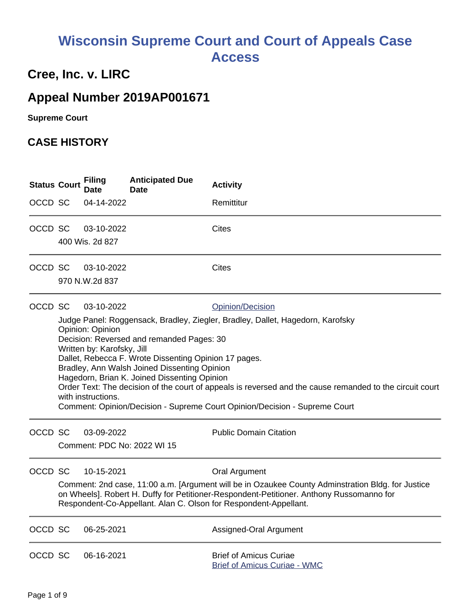# **Wisconsin Supreme Court and Court of Appeals Case Access**

# **Cree, Inc. v. LIRC**

# **Appeal Number 2019AP001671**

**Supreme Court** 

## **CASE HISTORY**

| <b>Status Court</b> |                                                                                                                                                                                                                                                                                                                                                                                                                                                                                                                                                        | <b>Filing</b><br><b>Date</b>                                                                                                                                                                                                                                      | <b>Anticipated Due</b><br>Date | <b>Activity</b>                                                      |  |  |
|---------------------|--------------------------------------------------------------------------------------------------------------------------------------------------------------------------------------------------------------------------------------------------------------------------------------------------------------------------------------------------------------------------------------------------------------------------------------------------------------------------------------------------------------------------------------------------------|-------------------------------------------------------------------------------------------------------------------------------------------------------------------------------------------------------------------------------------------------------------------|--------------------------------|----------------------------------------------------------------------|--|--|
| OCCD SC             |                                                                                                                                                                                                                                                                                                                                                                                                                                                                                                                                                        | 04-14-2022                                                                                                                                                                                                                                                        |                                | Remittitur                                                           |  |  |
| OCCD SC             |                                                                                                                                                                                                                                                                                                                                                                                                                                                                                                                                                        | 03-10-2022                                                                                                                                                                                                                                                        |                                | Cites                                                                |  |  |
|                     |                                                                                                                                                                                                                                                                                                                                                                                                                                                                                                                                                        | 400 Wis. 2d 827                                                                                                                                                                                                                                                   |                                |                                                                      |  |  |
| OCCD SC             |                                                                                                                                                                                                                                                                                                                                                                                                                                                                                                                                                        | 03-10-2022                                                                                                                                                                                                                                                        |                                | <b>Cites</b>                                                         |  |  |
|                     |                                                                                                                                                                                                                                                                                                                                                                                                                                                                                                                                                        | 970 N.W.2d 837                                                                                                                                                                                                                                                    |                                |                                                                      |  |  |
| OCCD SC             |                                                                                                                                                                                                                                                                                                                                                                                                                                                                                                                                                        | 03-10-2022                                                                                                                                                                                                                                                        |                                | Opinion/Decision                                                     |  |  |
|                     | Judge Panel: Roggensack, Bradley, Ziegler, Bradley, Dallet, Hagedorn, Karofsky<br>Opinion: Opinion<br>Decision: Reversed and remanded Pages: 30<br>Written by: Karofsky, Jill<br>Dallet, Rebecca F. Wrote Dissenting Opinion 17 pages.<br>Bradley, Ann Walsh Joined Dissenting Opinion<br>Hagedorn, Brian K. Joined Dissenting Opinion<br>Order Text: The decision of the court of appeals is reversed and the cause remanded to the circuit court<br>with instructions.<br>Comment: Opinion/Decision - Supreme Court Opinion/Decision - Supreme Court |                                                                                                                                                                                                                                                                   |                                |                                                                      |  |  |
| OCCD SC             |                                                                                                                                                                                                                                                                                                                                                                                                                                                                                                                                                        | 03-09-2022                                                                                                                                                                                                                                                        | Comment: PDC No: 2022 WI 15    | <b>Public Domain Citation</b>                                        |  |  |
| OCCD SC             |                                                                                                                                                                                                                                                                                                                                                                                                                                                                                                                                                        | 10-15-2021                                                                                                                                                                                                                                                        |                                | <b>Oral Argument</b>                                                 |  |  |
|                     |                                                                                                                                                                                                                                                                                                                                                                                                                                                                                                                                                        | Comment: 2nd case, 11:00 a.m. [Argument will be in Ozaukee County Adminstration Bldg. for Justice<br>on Wheels]. Robert H. Duffy for Petitioner-Respondent-Petitioner. Anthony Russomanno for<br>Respondent-Co-Appellant. Alan C. Olson for Respondent-Appellant. |                                |                                                                      |  |  |
| OCCD SC             |                                                                                                                                                                                                                                                                                                                                                                                                                                                                                                                                                        | 06-25-2021                                                                                                                                                                                                                                                        |                                | Assigned-Oral Argument                                               |  |  |
| OCCD SC             |                                                                                                                                                                                                                                                                                                                                                                                                                                                                                                                                                        | 06-16-2021                                                                                                                                                                                                                                                        |                                | <b>Brief of Amicus Curiae</b><br><b>Brief of Amicus Curiae - WMC</b> |  |  |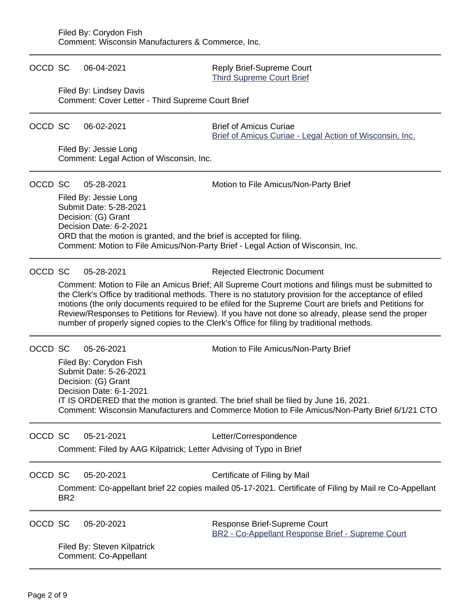| OCCD SC |                                                                                                                                                                                                                                                                                                                                                                                                                                                                                                                           | 06-04-2021                                                                                                                                                                 | Reply Brief-Supreme Court<br><b>Third Supreme Court Brief</b>                             |  |  |
|---------|---------------------------------------------------------------------------------------------------------------------------------------------------------------------------------------------------------------------------------------------------------------------------------------------------------------------------------------------------------------------------------------------------------------------------------------------------------------------------------------------------------------------------|----------------------------------------------------------------------------------------------------------------------------------------------------------------------------|-------------------------------------------------------------------------------------------|--|--|
|         |                                                                                                                                                                                                                                                                                                                                                                                                                                                                                                                           | Filed By: Lindsey Davis<br>Comment: Cover Letter - Third Supreme Court Brief                                                                                               |                                                                                           |  |  |
| OCCD SC |                                                                                                                                                                                                                                                                                                                                                                                                                                                                                                                           | 06-02-2021                                                                                                                                                                 | <b>Brief of Amicus Curiae</b><br>Brief of Amicus Curiae - Legal Action of Wisconsin, Inc. |  |  |
|         |                                                                                                                                                                                                                                                                                                                                                                                                                                                                                                                           | Filed By: Jessie Long<br>Comment: Legal Action of Wisconsin, Inc.                                                                                                          |                                                                                           |  |  |
| OCCD SC |                                                                                                                                                                                                                                                                                                                                                                                                                                                                                                                           | 05-28-2021                                                                                                                                                                 | Motion to File Amicus/Non-Party Brief                                                     |  |  |
|         |                                                                                                                                                                                                                                                                                                                                                                                                                                                                                                                           | Filed By: Jessie Long<br>Submit Date: 5-28-2021<br>Decision: (G) Grant<br>Decision Date: 6-2-2021<br>ORD that the motion is granted, and the brief is accepted for filing. | Comment: Motion to File Amicus/Non-Party Brief - Legal Action of Wisconsin, Inc.          |  |  |
| OCCD SC |                                                                                                                                                                                                                                                                                                                                                                                                                                                                                                                           | 05-28-2021                                                                                                                                                                 | <b>Rejected Electronic Document</b>                                                       |  |  |
|         | Comment: Motion to File an Amicus Brief; All Supreme Court motions and filings must be submitted to<br>the Clerk's Office by traditional methods. There is no statutory provision for the acceptance of efiled<br>motions (the only documents required to be efiled for the Supreme Court are briefs and Petitions for<br>Review/Responses to Petitions for Review). If you have not done so already, please send the proper<br>number of properly signed copies to the Clerk's Office for filing by traditional methods. |                                                                                                                                                                            |                                                                                           |  |  |
| OCCD SC |                                                                                                                                                                                                                                                                                                                                                                                                                                                                                                                           | 05-26-2021                                                                                                                                                                 | Motion to File Amicus/Non-Party Brief                                                     |  |  |
|         |                                                                                                                                                                                                                                                                                                                                                                                                                                                                                                                           | Filed By: Corydon Fish<br>Submit Date: 5-26-2021<br>Decision: (G) Grant<br>Decision Date: 6-1-2021                                                                         |                                                                                           |  |  |
|         | IT IS ORDERED that the motion is granted. The brief shall be filed by June 16, 2021.<br>Comment: Wisconsin Manufacturers and Commerce Motion to File Amicus/Non-Party Brief 6/1/21 CTO                                                                                                                                                                                                                                                                                                                                    |                                                                                                                                                                            |                                                                                           |  |  |
| OCCD SC |                                                                                                                                                                                                                                                                                                                                                                                                                                                                                                                           | 05-21-2021                                                                                                                                                                 | Letter/Correspondence                                                                     |  |  |
|         | Comment: Filed by AAG Kilpatrick; Letter Advising of Typo in Brief                                                                                                                                                                                                                                                                                                                                                                                                                                                        |                                                                                                                                                                            |                                                                                           |  |  |
| OCCD SC |                                                                                                                                                                                                                                                                                                                                                                                                                                                                                                                           | 05-20-2021                                                                                                                                                                 | Certificate of Filing by Mail                                                             |  |  |
|         | Comment: Co-appellant brief 22 copies mailed 05-17-2021. Certificate of Filing by Mail re Co-Appellant<br>BR <sub>2</sub>                                                                                                                                                                                                                                                                                                                                                                                                 |                                                                                                                                                                            |                                                                                           |  |  |
| OCCD SC |                                                                                                                                                                                                                                                                                                                                                                                                                                                                                                                           | 05-20-2021                                                                                                                                                                 | Response Brief-Supreme Court<br>BR2 - Co-Appellant Response Brief - Supreme Court         |  |  |
|         |                                                                                                                                                                                                                                                                                                                                                                                                                                                                                                                           | Filed By: Steven Kilpatrick<br>Comment: Co-Appellant                                                                                                                       |                                                                                           |  |  |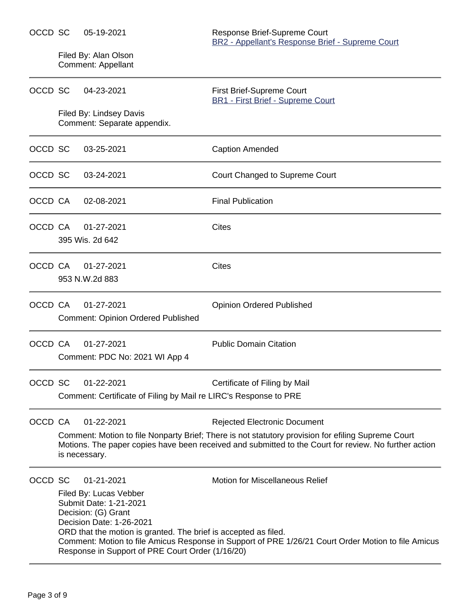Filed By: Alan Olson Comment: Appellant

| OCCD SC | 04-23-2021                                                                                                                                                                                                                               | First Brief-Supreme Court<br><b>BR1 - First Brief - Supreme Court</b>                                                                                                                                                                              |
|---------|------------------------------------------------------------------------------------------------------------------------------------------------------------------------------------------------------------------------------------------|----------------------------------------------------------------------------------------------------------------------------------------------------------------------------------------------------------------------------------------------------|
|         | Filed By: Lindsey Davis<br>Comment: Separate appendix.                                                                                                                                                                                   |                                                                                                                                                                                                                                                    |
| OCCD SC | 03-25-2021                                                                                                                                                                                                                               | <b>Caption Amended</b>                                                                                                                                                                                                                             |
| OCCD SC | 03-24-2021                                                                                                                                                                                                                               | Court Changed to Supreme Court                                                                                                                                                                                                                     |
| OCCD CA | 02-08-2021                                                                                                                                                                                                                               | <b>Final Publication</b>                                                                                                                                                                                                                           |
| OCCD CA | 01-27-2021<br>395 Wis. 2d 642                                                                                                                                                                                                            | <b>Cites</b>                                                                                                                                                                                                                                       |
| OCCD CA | 01-27-2021<br>953 N.W.2d 883                                                                                                                                                                                                             | <b>Cites</b>                                                                                                                                                                                                                                       |
| OCCD CA | 01-27-2021<br><b>Comment: Opinion Ordered Published</b>                                                                                                                                                                                  | <b>Opinion Ordered Published</b>                                                                                                                                                                                                                   |
| OCCD CA | 01-27-2021<br>Comment: PDC No: 2021 WI App 4                                                                                                                                                                                             | <b>Public Domain Citation</b>                                                                                                                                                                                                                      |
| OCCD SC | 01-22-2021<br>Comment: Certificate of Filing by Mail re LIRC's Response to PRE                                                                                                                                                           | Certificate of Filing by Mail                                                                                                                                                                                                                      |
| OCCD CA | 01-22-2021<br>is necessary.                                                                                                                                                                                                              | <b>Rejected Electronic Document</b><br>Comment: Motion to file Nonparty Brief; There is not statutory provision for efiling Supreme Court<br>Motions. The paper copies have been received and submitted to the Court for review. No further action |
| OCCD SC | 01-21-2021<br>Filed By: Lucas Vebber<br>Submit Date: 1-21-2021<br>Decision: (G) Grant<br>Decision Date: 1-26-2021<br>ORD that the motion is granted. The brief is accepted as filed.<br>Response in Support of PRE Court Order (1/16/20) | <b>Motion for Miscellaneous Relief</b><br>Comment: Motion to file Amicus Response in Support of PRE 1/26/21 Court Order Motion to file Amicus                                                                                                      |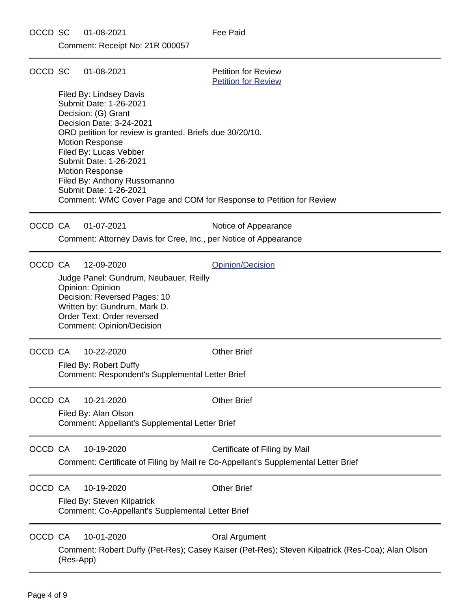Comment: Receipt No: 21R 000057

| OCCD SC |           | 01-08-2021                                                                                                                                                                                                                                                                                                                         | <b>Petition for Review</b><br><b>Petition for Review</b>                                                                 |  |  |
|---------|-----------|------------------------------------------------------------------------------------------------------------------------------------------------------------------------------------------------------------------------------------------------------------------------------------------------------------------------------------|--------------------------------------------------------------------------------------------------------------------------|--|--|
|         |           | Filed By: Lindsey Davis<br>Submit Date: 1-26-2021<br>Decision: (G) Grant<br>Decision Date: 3-24-2021<br>ORD petition for review is granted. Briefs due 30/20/10.<br><b>Motion Response</b><br>Filed By: Lucas Vebber<br>Submit Date: 1-26-2021<br><b>Motion Response</b><br>Filed By: Anthony Russomanno<br>Submit Date: 1-26-2021 | Comment: WMC Cover Page and COM for Response to Petition for Review                                                      |  |  |
| OCCD CA |           | 01-07-2021                                                                                                                                                                                                                                                                                                                         | Notice of Appearance                                                                                                     |  |  |
|         |           | Comment: Attorney Davis for Cree, Inc., per Notice of Appearance                                                                                                                                                                                                                                                                   |                                                                                                                          |  |  |
| OCCD CA |           | 12-09-2020<br>Judge Panel: Gundrum, Neubauer, Reilly<br>Opinion: Opinion<br>Decision: Reversed Pages: 10<br>Written by: Gundrum, Mark D.<br>Order Text: Order reversed<br><b>Comment: Opinion/Decision</b>                                                                                                                         | Opinion/Decision                                                                                                         |  |  |
| OCCD CA |           | 10-22-2020<br>Filed By: Robert Duffy<br>Comment: Respondent's Supplemental Letter Brief                                                                                                                                                                                                                                            | <b>Other Brief</b>                                                                                                       |  |  |
| OCCD CA |           | 10-21-2020<br>Filed By: Alan Olson<br>Comment: Appellant's Supplemental Letter Brief                                                                                                                                                                                                                                               | <b>Other Brief</b>                                                                                                       |  |  |
| OCCD CA |           | 10-19-2020                                                                                                                                                                                                                                                                                                                         | Certificate of Filing by Mail<br>Comment: Certificate of Filing by Mail re Co-Appellant's Supplemental Letter Brief      |  |  |
| OCCD CA |           | 10-19-2020<br>Filed By: Steven Kilpatrick<br>Comment: Co-Appellant's Supplemental Letter Brief                                                                                                                                                                                                                                     | <b>Other Brief</b>                                                                                                       |  |  |
| OCCD CA | (Res-App) | 10-01-2020                                                                                                                                                                                                                                                                                                                         | <b>Oral Argument</b><br>Comment: Robert Duffy (Pet-Res); Casey Kaiser (Pet-Res); Steven Kilpatrick (Res-Coa); Alan Olson |  |  |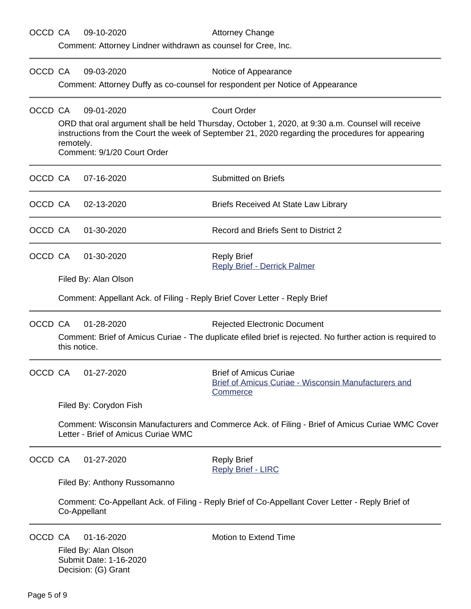| OCCD CA |                                                                                                                                                                                 | 09-10-2020<br>Comment: Attorney Lindner withdrawn as counsel for Cree, Inc.                                                            | <b>Attorney Change</b>                                                                                                                                                                                                       |  |  |  |
|---------|---------------------------------------------------------------------------------------------------------------------------------------------------------------------------------|----------------------------------------------------------------------------------------------------------------------------------------|------------------------------------------------------------------------------------------------------------------------------------------------------------------------------------------------------------------------------|--|--|--|
| OCCD CA |                                                                                                                                                                                 | 09-03-2020                                                                                                                             | Notice of Appearance<br>Comment: Attorney Duffy as co-counsel for respondent per Notice of Appearance                                                                                                                        |  |  |  |
| OCCD CA | remotely.                                                                                                                                                                       | 09-01-2020<br>Comment: 9/1/20 Court Order                                                                                              | <b>Court Order</b><br>ORD that oral argument shall be held Thursday, October 1, 2020, at 9:30 a.m. Counsel will receive<br>instructions from the Court the week of September 21, 2020 regarding the procedures for appearing |  |  |  |
| OCCD CA |                                                                                                                                                                                 | 07-16-2020                                                                                                                             | <b>Submitted on Briefs</b>                                                                                                                                                                                                   |  |  |  |
| OCCD CA |                                                                                                                                                                                 | 02-13-2020                                                                                                                             | <b>Briefs Received At State Law Library</b>                                                                                                                                                                                  |  |  |  |
| OCCD CA |                                                                                                                                                                                 | 01-30-2020                                                                                                                             | Record and Briefs Sent to District 2                                                                                                                                                                                         |  |  |  |
| OCCD CA |                                                                                                                                                                                 | 01-30-2020                                                                                                                             | <b>Reply Brief</b><br><b>Reply Brief - Derrick Palmer</b>                                                                                                                                                                    |  |  |  |
|         |                                                                                                                                                                                 | Filed By: Alan Olson<br>Comment: Appellant Ack. of Filing - Reply Brief Cover Letter - Reply Brief                                     |                                                                                                                                                                                                                              |  |  |  |
| OCCD CA | 01-28-2020<br><b>Rejected Electronic Document</b><br>Comment: Brief of Amicus Curiae - The duplicate efiled brief is rejected. No further action is required to<br>this notice. |                                                                                                                                        |                                                                                                                                                                                                                              |  |  |  |
| OCCD CA |                                                                                                                                                                                 | 01-27-2020                                                                                                                             | <b>Brief of Amicus Curiae</b><br><b>Brief of Amicus Curiae - Wisconsin Manufacturers and</b><br><b>Commerce</b>                                                                                                              |  |  |  |
|         | Filed By: Corydon Fish                                                                                                                                                          |                                                                                                                                        |                                                                                                                                                                                                                              |  |  |  |
|         |                                                                                                                                                                                 | Comment: Wisconsin Manufacturers and Commerce Ack. of Filing - Brief of Amicus Curiae WMC Cover<br>Letter - Brief of Amicus Curiae WMC |                                                                                                                                                                                                                              |  |  |  |
| OCCD CA |                                                                                                                                                                                 | 01-27-2020                                                                                                                             | <b>Reply Brief</b><br><b>Reply Brief - LIRC</b>                                                                                                                                                                              |  |  |  |
|         |                                                                                                                                                                                 | Filed By: Anthony Russomanno                                                                                                           |                                                                                                                                                                                                                              |  |  |  |
|         |                                                                                                                                                                                 | Comment: Co-Appellant Ack. of Filing - Reply Brief of Co-Appellant Cover Letter - Reply Brief of<br>Co-Appellant                       |                                                                                                                                                                                                                              |  |  |  |
| OCCD CA |                                                                                                                                                                                 | 01-16-2020<br>Filed By: Alan Olson<br>Submit Date: 1-16-2020<br>Decision: (G) Grant                                                    | Motion to Extend Time                                                                                                                                                                                                        |  |  |  |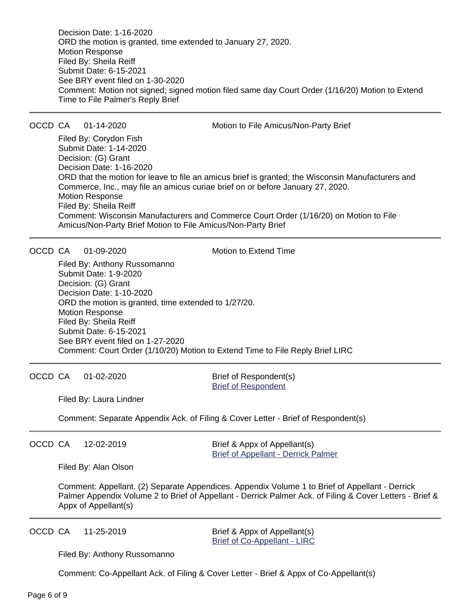Decision Date: 1-16-2020 ORD the motion is granted, time extended to January 27, 2020. Motion Response Filed By: Sheila Reiff Submit Date: 6-15-2021 See BRY event filed on 1-30-2020 Comment: Motion not signed; signed motion filed same day Court Order (1/16/20) Motion to Extend Time to File Palmer's Reply Brief

OCCD CA 01-14-2020 Motion to File Amicus/Non-Party Brief

Filed By: Corydon Fish Submit Date: 1-14-2020 Decision: (G) Grant Decision Date: 1-16-2020 ORD that the motion for leave to file an amicus brief is granted; the Wisconsin Manufacturers and Commerce, Inc., may file an amicus curiae brief on or before January 27, 2020. Motion Response Filed By: Sheila Reiff Comment: Wisconsin Manufacturers and Commerce Court Order (1/16/20) on Motion to File Amicus/Non-Party Brief Motion to File Amicus/Non-Party Brief

OCCD CA 01-09-2020 Motion to Extend Time

Filed By: Anthony Russomanno Submit Date: 1-9-2020 Decision: (G) Grant Decision Date: 1-10-2020 ORD the motion is granted, time extended to 1/27/20. Motion Response Filed By: Sheila Reiff Submit Date: 6-15-2021 See BRY event filed on 1-27-2020 Comment: Court Order (1/10/20) Motion to Extend Time to File Reply Brief LIRC

OCCD CA 01-02-2020 Brief of Respondent(s)

[Brief of Respondent](https://acefiling.wicourts.gov/document/eFiled/2019AP001671/252106)

Filed By: Laura Lindner

Comment: Separate Appendix Ack. of Filing & Cover Letter - Brief of Respondent(s)

OCCD CA 12-02-2019 Brief & Appx of Appellant(s)

[Brief of Appellant - Derrick Palmer](https://acefiling.wicourts.gov/document/eFiled/2019AP001671/250921)

Filed By: Alan Olson

Comment: Appellant. (2) Separate Appendices. Appendix Volume 1 to Brief of Appellant - Derrick Palmer Appendix Volume 2 to Brief of Appellant - Derrick Palmer Ack. of Filing & Cover Letters - Brief & Appx of Appellant(s)

OCCD CA 11-25-2019 Brief & Appx of Appellant(s) [Brief of Co-Appellant - LIRC](https://acefiling.wicourts.gov/document/eFiled/2019AP001671/250752)

Filed By: Anthony Russomanno

Comment: Co-Appellant Ack. of Filing & Cover Letter - Brief & Appx of Co-Appellant(s)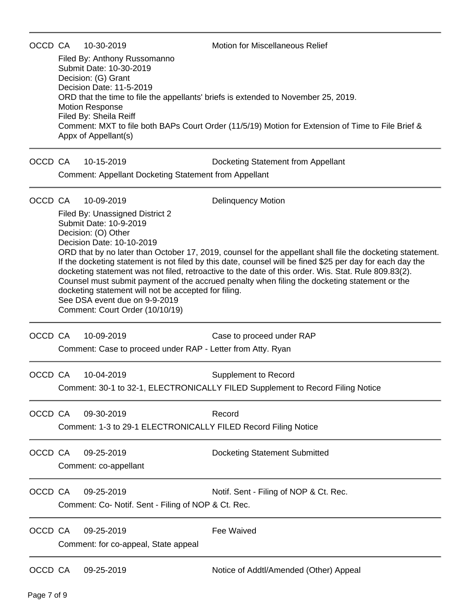OCCD CA 10-30-2019 Motion for Miscellaneous Relief

Filed By: Anthony Russomanno Submit Date: 10-30-2019 Decision: (G) Grant Decision Date: 11-5-2019 ORD that the time to file the appellants' briefs is extended to November 25, 2019. Motion Response Filed By: Sheila Reiff Comment: MXT to file both BAPs Court Order (11/5/19) Motion for Extension of Time to File Brief & Appx of Appellant(s)

OCCD CA 10-15-2019 Docketing Statement from Appellant

Comment: Appellant Docketing Statement from Appellant

### OCCD CA 10-09-2019 Delinquency Motion

Filed By: Unassigned District 2 Submit Date: 10-9-2019 Decision: (O) Other Decision Date: 10-10-2019 ORD that by no later than October 17, 2019, counsel for the appellant shall file the docketing statement. If the docketing statement is not filed by this date, counsel will be fined \$25 per day for each day the docketing statement was not filed, retroactive to the date of this order. Wis. Stat. Rule 809.83(2). Counsel must submit payment of the accrued penalty when filing the docketing statement or the docketing statement will not be accepted for filing. See DSA event due on 9-9-2019 Comment: Court Order (10/10/19)

OCCD CA 10-09-2019 Case to proceed under RAP

Comment: Case to proceed under RAP - Letter from Atty. Ryan

OCCD CA 10-04-2019 Supplement to Record Comment: 30-1 to 32-1, ELECTRONICALLY FILED Supplement to Record Filing Notice

OCCD CA 09-30-2019 Record Comment: 1-3 to 29-1 ELECTRONICALLY FILED Record Filing Notice

OCCD CA 09-25-2019 Docketing Statement Submitted Comment: co-appellant

OCCD CA 09-25-2019 Notif. Sent - Filing of NOP & Ct. Rec. Comment: Co- Notif. Sent - Filing of NOP & Ct. Rec.

OCCD CA 09-25-2019 Fee Waived Comment: for co-appeal, State appeal